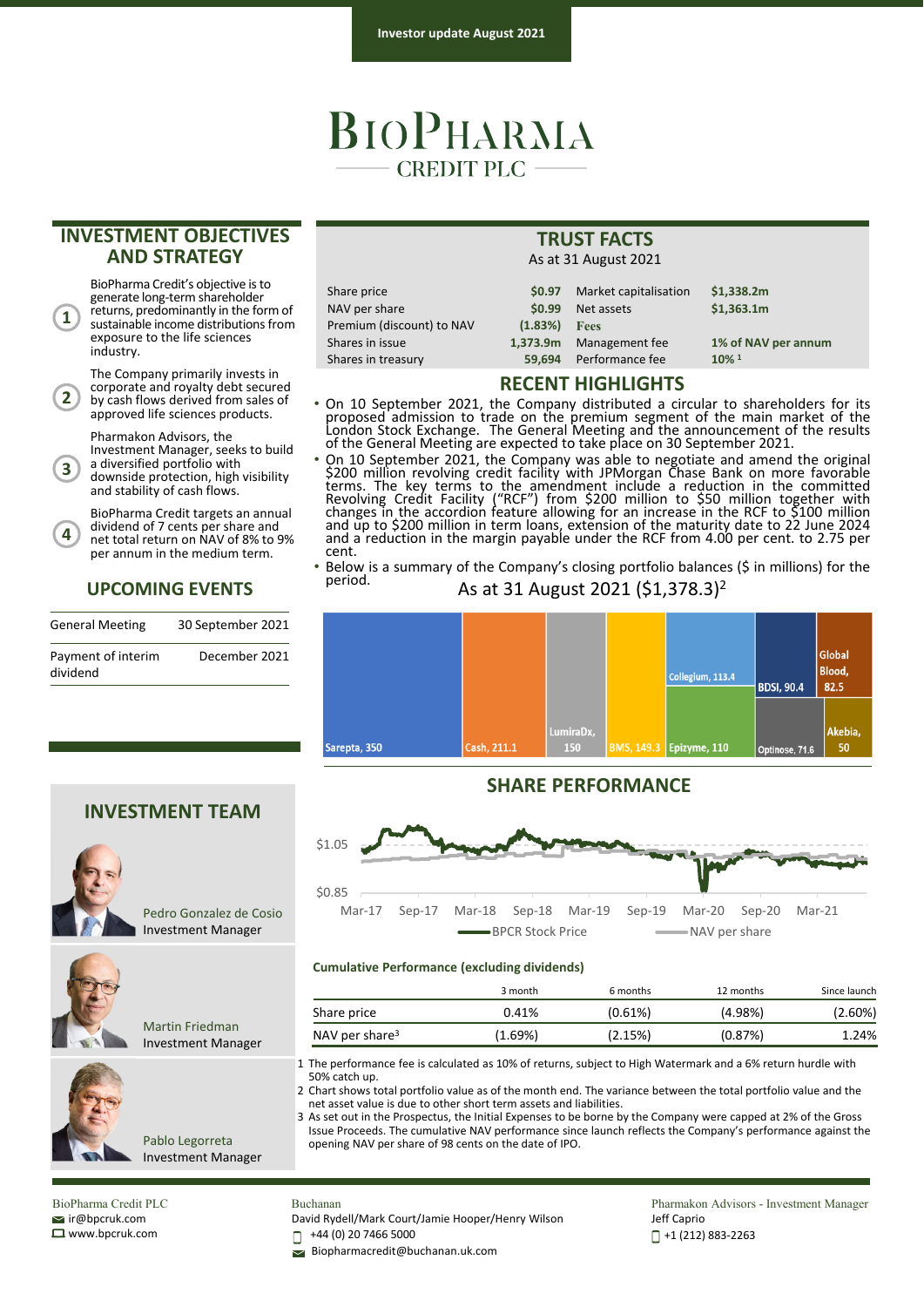## BIOPHARMA **CREDIT PLC**

## **INVESTMENT OBJECTIVES AND STRATEGY**

BioPharma Credit's objective is to generate long-term shareholder returns, predominantly in the form of sustainable income distributions from exposure to the life sciences industry.

**1**

**4**

The Company primarily invests in corporate and royalty debt secured by cash flows derived from sales of approved life sciences products. **2**

Pharmakon Advisors, the

Investment Manager, seeks to build <sup>a</sup> diversified portfolio with downside protection, high visibility and stability of cash flows. **3**

BioPharma Credit targets an annual dividend of 7 cents per share and net total return on NAV of 8% to 9% per annum in the medium term.

### **UPCOMING EVENTS**

| <b>General Meeting</b>         | 30 September 2021 |
|--------------------------------|-------------------|
| Payment of interim<br>dividend | December 2021     |

| Share price               | <b>SO.97</b> | Market capitalisation | \$1,338.2m          |  |  |  |
|---------------------------|--------------|-----------------------|---------------------|--|--|--|
| NAV per share             | \$0.99       | Net assets            | \$1,363.1m          |  |  |  |
| Premium (discount) to NAV | (1.83%)      | <b>Fees</b>           |                     |  |  |  |
| Shares in issue           | 1,373.9m     | Management fee        | 1% of NAV per annum |  |  |  |
| Shares in treasury        | 59.694       | Performance fee       | $10\%$ <sup>1</sup> |  |  |  |
|                           |              |                       |                     |  |  |  |

## **RECENT HIGHLIGHTS**

**TRUST FACTS** As at 31 August 2021

- On 10 September 2021, the Company distributed a circular to shareholders for its proposed admission to trade on the premium segment of the main market of the London Stock Exchange. The General Meeting and the announcement of the results of the General Meeting are expected to take place on 30 September 2021.
- On 10 September 2021, the Company was able to negotiate and amend the original \$200 million revolving credit facility with JPMorgan Chase Bank on more favorable terms. The key terms to the amendment include a reduction in the committed Revolving Credit Facility ("RCF") from \$200 million to \$50 million together with changes in the accordion feature allowing for an increase in the RCF to \$100 million and up to \$200 million in term loans, extension of the maturity date to 22 June 2024 and a reduction in the margin payable under the RCF from 4.00 per cent. to 2.75 per cent.
- Below is a summary of the Company's closing portfolio balances (\$ in millions) for the period. As at 31 August 2021 (\$1,378.3)2



## **SHARE PERFORMANCE**



#### **Cumulative Performance (excluding dividends)**

|                            | 3 month | 6 months | 12 months  | Since launch |
|----------------------------|---------|----------|------------|--------------|
| Share price                | 0.41%   | (0.61%)  | $(4.98\%)$ | $(2.60\%)$   |
| NAV per share <sup>3</sup> | (1.69%) | (2.15%)  | (0.87%)    | 1.24%        |

1 The performance fee is calculated as 10% of returns, subject to High Watermark and a 6% return hurdle with 50% catch up.

2 Chart shows total portfolio value as of the month end. The variance between the total portfolio value and the net asset value is due to other short term assets and liabilities.

3 As set out in the Prospectus, the Initial Expenses to be borne by the Company were capped at 2% of the Gross Issue Proceeds. The cumulative NAV performance since launch reflects the Company's performance against the opening NAV per share of 98 cents on the date of IPO.

BioPharma Credit PLC ir@bpcruk.com www.bpcruk.com

#### Buchanan

David Rydell/Mark Court/Jamie Hooper/Henry Wilson

+44 (0) 20 7466 5000 П

Biopharmacredit@buchanan.uk.com

Pharmakon Advisors - Investment Manager Jeff Caprio +1 (212) 883‐2263

**INVESTMENT TEAM**



Pedro Gonzalez de Cosio Investment Manager



Pablo Legorreta Investment Manager